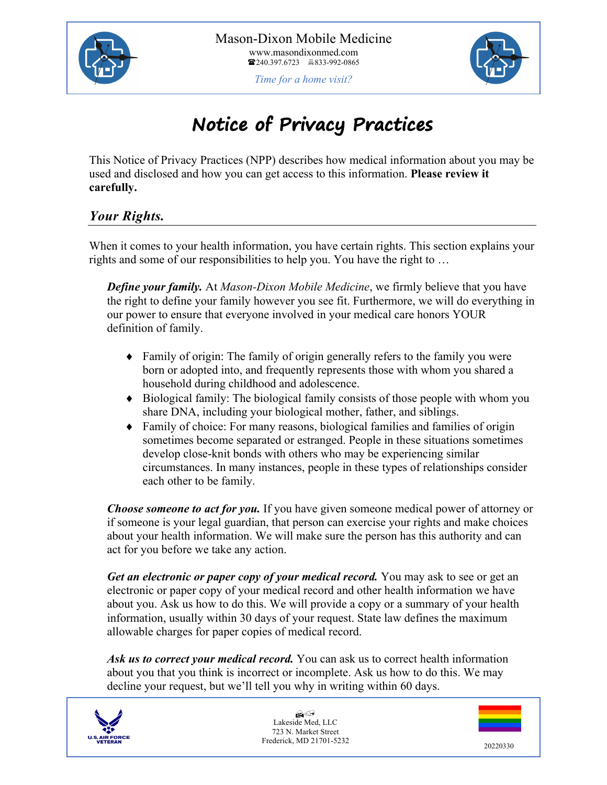



# **Notice of Privacy Practices**

This Notice of Privacy Practices (NPP) describes how medical information about you may be used and disclosed and how you can get access to this information. **Please review it carefully.**

## *Your Rights.*

When it comes to your health information, you have certain rights. This section explains your rights and some of our responsibilities to help you. You have the right to …

*Define your family.* At *Mason-Dixon Mobile Medicine*, we firmly believe that you have the right to define your family however you see fit. Furthermore, we will do everything in our power to ensure that everyone involved in your medical care honors YOUR definition of family.

- $\bullet$  Family of origin: The family of origin generally refers to the family you were born or adopted into, and frequently represents those with whom you shared a household during childhood and adolescence.
- $\bullet$  Biological family: The biological family consists of those people with whom you share DNA, including your biological mother, father, and siblings.
- $\bullet$  Family of choice: For many reasons, biological families and families of origin sometimes become separated or estranged. People in these situations sometimes develop close-knit bonds with others who may be experiencing similar circumstances. In many instances, people in these types of relationships consider each other to be family.

*Choose someone to act for you.* If you have given someone medical power of attorney or if someone is your legal guardian, that person can exercise your rights and make choices about your health information. We will make sure the person has this authority and can act for you before we take any action.

*Get an electronic or paper copy of your medical record.* You may ask to see or get an electronic or paper copy of your medical record and other health information we have about you. Ask us how to do this. We will provide a copy or a summary of your health information, usually within 30 days of your request. State law defines the maximum allowable charges for paper copies of medical record.

*Ask us to correct your medical record.* You can ask us to correct health information about you that you think is incorrect or incomplete. Ask us how to do this. We may decline your request, but we'll tell you why in writing within 60 days.



 $H$ Lakeside Med, LLC 723 N. Market Street Frederick, MD 21701-5232 20220330

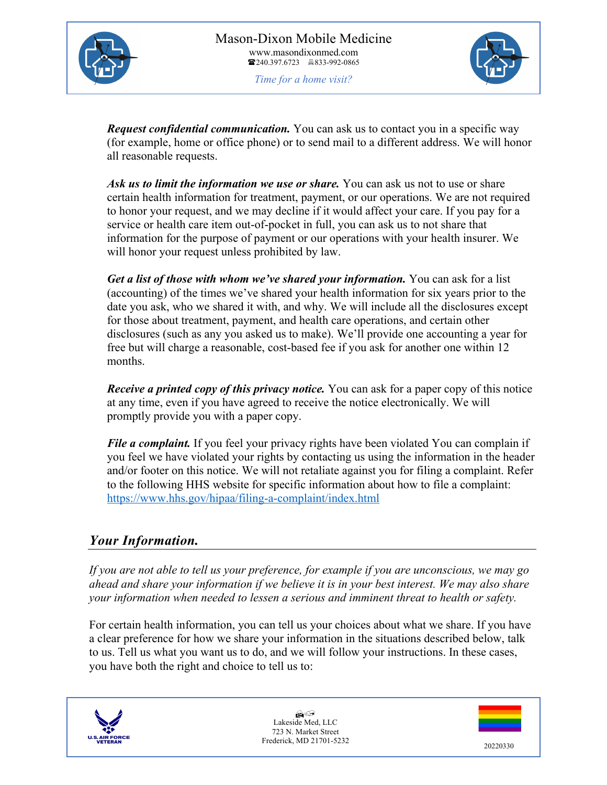



*Request confidential communication.* You can ask us to contact you in a specific way (for example, home or office phone) or to send mail to a different address. We will honor all reasonable requests.

*Ask us to limit the information we use or share.* You can ask us not to use or share certain health information for treatment, payment, or our operations. We are not required to honor your request, and we may decline if it would affect your care. If you pay for a service or health care item out-of-pocket in full, you can ask us to not share that information for the purpose of payment or our operations with your health insurer. We will honor your request unless prohibited by law.

*Get a list of those with whom we've shared your information.* You can ask for a list (accounting) of the times we've shared your health information for six years prior to the date you ask, who we shared it with, and why. We will include all the disclosures except for those about treatment, payment, and health care operations, and certain other disclosures (such as any you asked us to make). We'll provide one accounting a year for free but will charge a reasonable, cost-based fee if you ask for another one within 12 months.

*Receive a printed copy of this privacy notice.* You can ask for a paper copy of this notice at any time, even if you have agreed to receive the notice electronically. We will promptly provide you with a paper copy.

*File a complaint*. If you feel your privacy rights have been violated You can complain if you feel we have violated your rights by contacting us using the information in the header and/or footer on this notice. We will not retaliate against you for filing a complaint. Refer to the following HHS website for specific information about how to file a complaint: https://www.hhs.gov/hipaa/filing-a-complaint/index.html

## *Your Information.*

*If you are not able to tell us your preference, for example if you are unconscious, we may go ahead and share your information if we believe it is in your best interest. We may also share your information when needed to lessen a serious and imminent threat to health or safety.*

For certain health information, you can tell us your choices about what we share. If you have a clear preference for how we share your information in the situations described below, talk to us. Tell us what you want us to do, and we will follow your instructions. In these cases, you have both the right and choice to tell us to:



 $H$ Lakeside Med, LLC 723 N. Market Street Frederick, MD 21701-5232 20220330

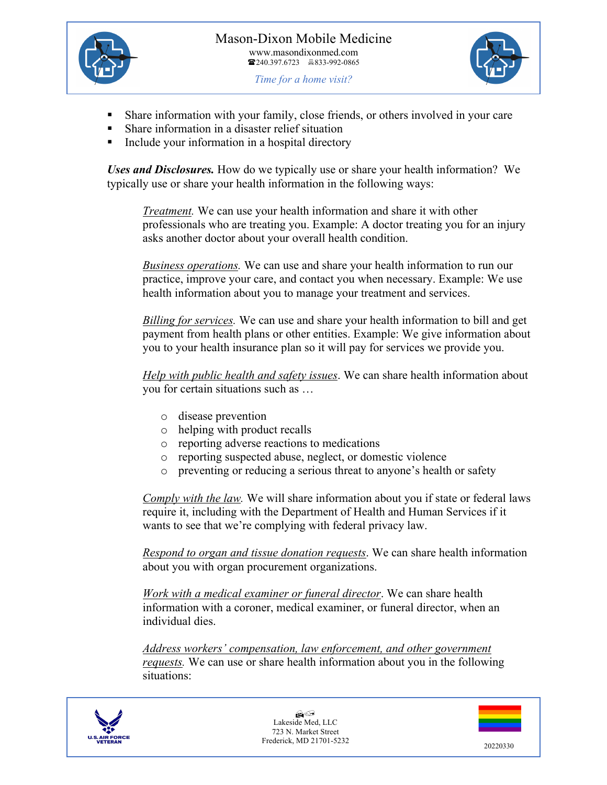



- Share information with your family, close friends, or others involved in your care
- § Share information in a disaster relief situation
- Include your information in a hospital directory

*Uses and Disclosures.* How do we typically use or share your health information? We typically use or share your health information in the following ways:

*Treatment.* We can use your health information and share it with other professionals who are treating you. Example: A doctor treating you for an injury asks another doctor about your overall health condition.

*Business operations.* We can use and share your health information to run our practice, improve your care, and contact you when necessary. Example: We use health information about you to manage your treatment and services.

*Billing for services.* We can use and share your health information to bill and get payment from health plans or other entities. Example: We give information about you to your health insurance plan so it will pay for services we provide you.

*Help with public health and safety issues*. We can share health information about you for certain situations such as …

- o disease prevention
- o helping with product recalls
- o reporting adverse reactions to medications
- o reporting suspected abuse, neglect, or domestic violence
- o preventing or reducing a serious threat to anyone's health or safety

*Comply with the law.* We will share information about you if state or federal laws require it, including with the Department of Health and Human Services if it wants to see that we're complying with federal privacy law.

*Respond to organ and tissue donation requests*. We can share health information about you with organ procurement organizations.

*Work with a medical examiner or funeral director*. We can share health information with a coroner, medical examiner, or funeral director, when an individual dies.

*Address workers' compensation, law enforcement, and other government requests.* We can use or share health information about you in the following situations:



H/ Lakeside Med, LLC 723 N. Market Street Frederick, MD 21701-5232 20220330

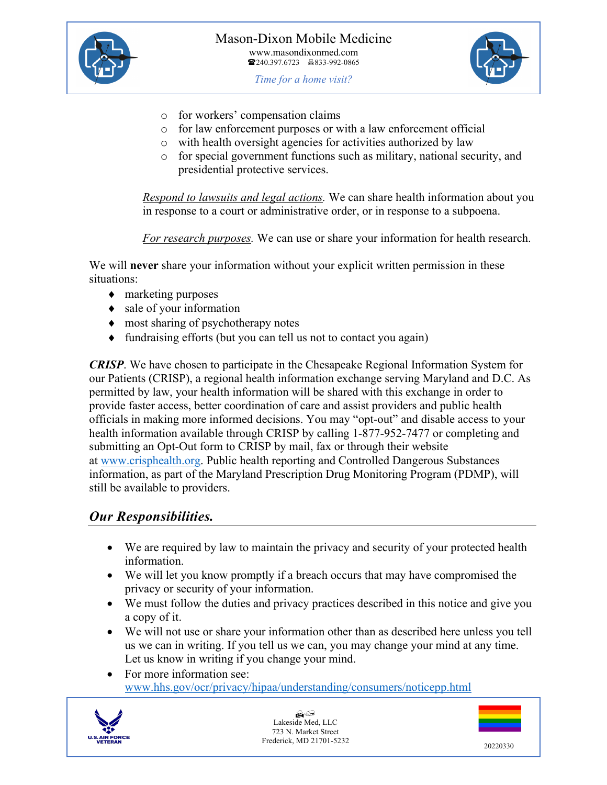



- *Time for a home visit?*
- o for workers' compensation claims
- o for law enforcement purposes or with a law enforcement official
- o with health oversight agencies for activities authorized by law
- o for special government functions such as military, national security, and presidential protective services.

*Respond to lawsuits and legal actions.* We can share health information about you in response to a court or administrative order, or in response to a subpoena.

*For research purposes.* We can use or share your information for health research.

We will **never** share your information without your explicit written permission in these situations:

- marketing purposes
- $\bullet$  sale of your information
- $\bullet$  most sharing of psychotherapy notes
- $\bullet$  fundraising efforts (but you can tell us not to contact you again)

*CRISP*. We have chosen to participate in the Chesapeake Regional Information System for our Patients (CRISP), a regional health information exchange serving Maryland and D.C. As permitted by law, your health information will be shared with this exchange in order to provide faster access, better coordination of care and assist providers and public health officials in making more informed decisions. You may "opt-out" and disable access to your health information available through CRISP by calling 1-877-952-7477 or completing and submitting an Opt-Out form to CRISP by mail, fax or through their website at www.crisphealth.org. Public health reporting and Controlled Dangerous Substances information, as part of the Maryland Prescription Drug Monitoring Program (PDMP), will still be available to providers.

#### *Our Responsibilities.*

- We are required by law to maintain the privacy and security of your protected health information.
- We will let you know promptly if a breach occurs that may have compromised the privacy or security of your information.
- We must follow the duties and privacy practices described in this notice and give you a copy of it.
- We will not use or share your information other than as described here unless you tell us we can in writing. If you tell us we can, you may change your mind at any time. Let us know in writing if you change your mind.
- For more information see: www.hhs.gov/ocr/privacy/hipaa/understanding/consumers/noticepp.html



 $A$ Lakeside Med, LLC 723 N. Market Street Frederick, MD 21701-5232 20220330